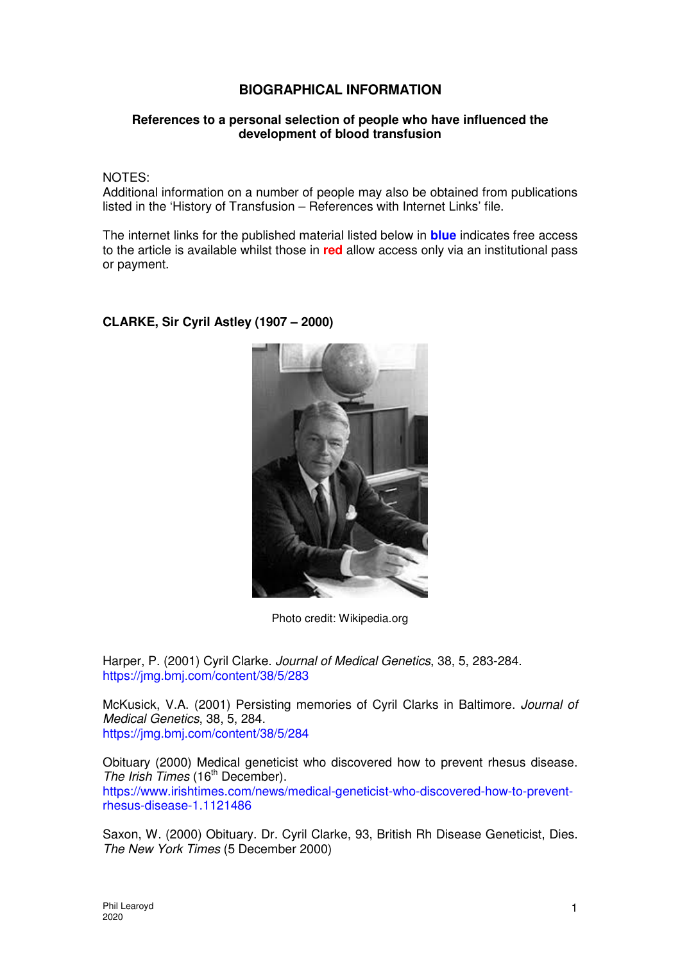## **BIOGRAPHICAL INFORMATION**

## **References to a personal selection of people who have influenced the development of blood transfusion**

NOTES:

Additional information on a number of people may also be obtained from publications listed in the 'History of Transfusion – References with Internet Links' file.

The internet links for the published material listed below in **blue** indicates free access to the article is available whilst those in **red** allow access only via an institutional pass or payment.

## **CLARKE, Sir Cyril Astley (1907 – 2000)**



Photo credit: Wikipedia.org

Harper, P. (2001) Cyril Clarke. Journal of Medical Genetics, 38, 5, 283-284. https://jmg.bmj.com/content/38/5/283

McKusick, V.A. (2001) Persisting memories of Cyril Clarks in Baltimore. Journal of Medical Genetics, 38, 5, 284. https://jmg.bmj.com/content/38/5/284

Obituary (2000) Medical geneticist who discovered how to prevent rhesus disease. The Irish Times (16<sup>th</sup> December). https://www.irishtimes.com/news/medical-geneticist-who-discovered-how-to-preventrhesus-disease-1.1121486

Saxon, W. (2000) Obituary. Dr. Cyril Clarke, 93, British Rh Disease Geneticist, Dies. The New York Times (5 December 2000)